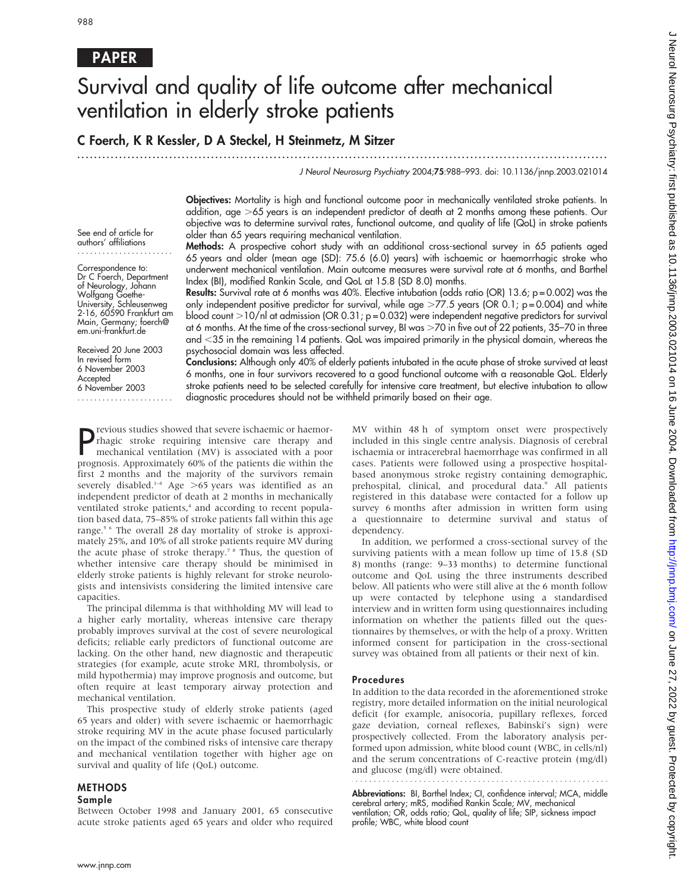## PAPER

# Survival and quality of life outcome after mechanical ventilation in elderly stroke patients

## C Foerch, K R Kessler, D A Steckel, H Steinmetz, M Sitzer

...............................................................................................................................

J Neurol Neurosurg Psychiatry 2004;75:988–993. doi: 10.1136/jnnp.2003.021014

Objectives: Mortality is high and functional outcome poor in mechanically ventilated stroke patients. In addition, age  $>65$  years is an independent predictor of death at 2 months among these patients. Our objective was to determine survival rates, functional outcome, and quality of life (QoL) in stroke patients older than 65 years requiring mechanical ventilation.

See end of article for authors' affiliations .......................

Correspondence to: Dr C Foerch, Department of Neurology, Johann Wolfgang Goethe-University, Schleusenweg 2-16, 60590 Frankfurt am Main, Germany; foerch@ em.uni-frankfurt.de

Received 20 June 2003 In revised form 6 November 2003 Accepted 6 November 2003

.......................

Methods: A prospective cohort study with an additional cross-sectional survey in 65 patients aged 65 years and older (mean age (SD): 75.6 (6.0) years) with ischaemic or haemorrhagic stroke who underwent mechanical ventilation. Main outcome measures were survival rate at 6 months, and Barthel Index (BI), modified Rankin Scale, and QoL at 15.8 (SD 8.0) months.

**Results:** Survival rate at 6 months was 40%. Elective intubation (odds ratio (OR) 13.6;  $p = 0.002$ ) was the only independent positive predictor for survival, while age  $>77.5$  years (OR 0.1; p=0.004) and white blood count  $>10/n$  at admission (OR 0.31; p = 0.032) were independent negative predictors for survival at 6 months. At the time of the cross-sectional survey, BI was >70 in five out of 22 patients, 35–70 in three and <35 in the remaining 14 patients. QoL was impaired primarily in the physical domain, whereas the psychosocial domain was less affected.

Conclusions: Although only 40% of elderly patients intubated in the acute phase of stroke survived at least 6 months, one in four survivors recovered to a good functional outcome with a reasonable QoL. Elderly stroke patients need to be selected carefully for intensive care treatment, but elective intubation to allow diagnostic procedures should not be withheld primarily based on their age.

**P** revious studies showed that severe ischaemic or haemor-<br>rhagic stroke requiring intensive care therapy and<br>mechanical ventilation (MV) is associated with a poor<br>propose: Approximately  $60\%$  of the patients die within rhagic stroke requiring intensive care therapy and mechanical ventilation (MV) is associated with a poor prognosis. Approximately 60% of the patients die within the first 2 months and the majority of the survivors remain severely disabled.<sup>1-4</sup> Age >65 years was identified as an independent predictor of death at 2 months in mechanically ventilated stroke patients,<sup>4</sup> and according to recent population based data, 75–85% of stroke patients fall within this age range.5 6 The overall 28 day mortality of stroke is approximately 25%, and 10% of all stroke patients require MV during the acute phase of stroke therapy.<sup>7 8</sup> Thus, the question of whether intensive care therapy should be minimised in elderly stroke patients is highly relevant for stroke neurologists and intensivists considering the limited intensive care capacities.

The principal dilemma is that withholding MV will lead to a higher early mortality, whereas intensive care therapy probably improves survival at the cost of severe neurological deficits; reliable early predictors of functional outcome are lacking. On the other hand, new diagnostic and therapeutic strategies (for example, acute stroke MRI, thrombolysis, or mild hypothermia) may improve prognosis and outcome, but often require at least temporary airway protection and mechanical ventilation.

This prospective study of elderly stroke patients (aged 65 years and older) with severe ischaemic or haemorrhagic stroke requiring MV in the acute phase focused particularly on the impact of the combined risks of intensive care therapy and mechanical ventilation together with higher age on survival and quality of life (QoL) outcome.

#### METHODS

#### Sample

Between October 1998 and January 2001, 65 consecutive acute stroke patients aged 65 years and older who required MV within 48 h of symptom onset were prospectively included in this single centre analysis. Diagnosis of cerebral ischaemia or intracerebral haemorrhage was confirmed in all cases. Patients were followed using a prospective hospitalbased anonymous stroke registry containing demographic, prehospital, clinical, and procedural data.<sup>9</sup> All patients registered in this database were contacted for a follow up survey 6 months after admission in written form using a questionnaire to determine survival and status of dependency.

In addition, we performed a cross-sectional survey of the surviving patients with a mean follow up time of 15.8 (SD 8) months (range: 9–33 months) to determine functional outcome and QoL using the three instruments described below. All patients who were still alive at the 6 month follow up were contacted by telephone using a standardised interview and in written form using questionnaires including information on whether the patients filled out the questionnaires by themselves, or with the help of a proxy. Written informed consent for participation in the cross-sectional survey was obtained from all patients or their next of kin.

#### Procedures

In addition to the data recorded in the aforementioned stroke registry, more detailed information on the initial neurological deficit (for example, anisocoria, pupillary reflexes, forced gaze deviation, corneal reflexes, Babinski's sign) were prospectively collected. From the laboratory analysis performed upon admission, white blood count (WBC, in cells/nl) and the serum concentrations of C-reactive protein (mg/dl) and glucose (mg/dl) were obtained.

Abbreviations: BI, Barthel Index; CI, confidence interval; MCA, middle cerebral artery; mRS, modified Rankin Scale; MV, mechanical ventilation; OR, odds ratio; QoL, quality of life; SIP, sickness impact profile; WBC, white blood count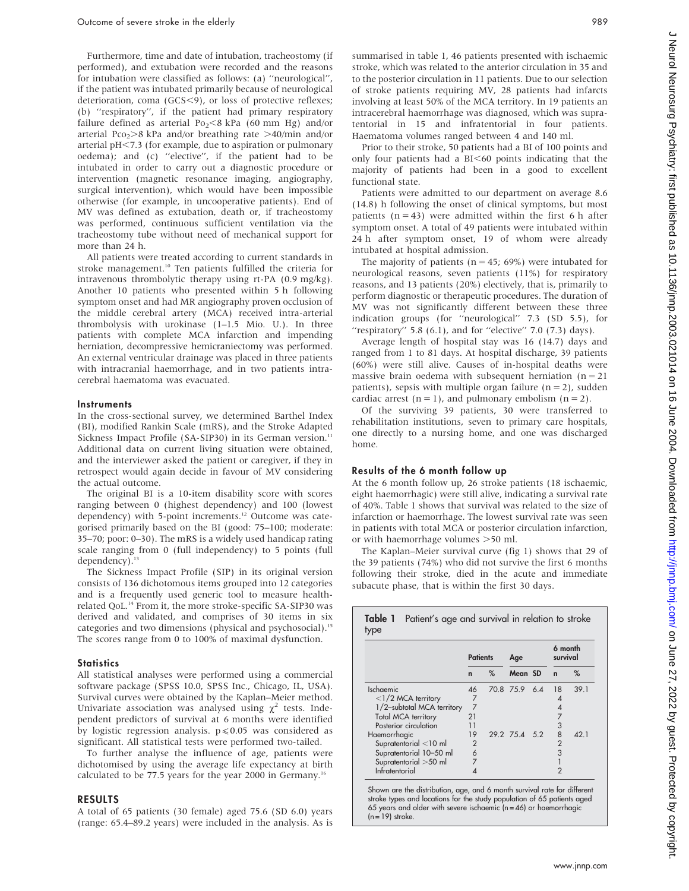Furthermore, time and date of intubation, tracheostomy (if performed), and extubation were recorded and the reasons for intubation were classified as follows: (a) ''neurological'', if the patient was intubated primarily because of neurological deterioration, coma (GCS<9), or loss of protective reflexes; (b) ''respiratory'', if the patient had primary respiratory failure defined as arterial Po<sub>2</sub> <8 kPa (60 mm Hg) and/or arterial Pco<sub>2</sub> $>8$  kPa and/or breathing rate  $>40$ /min and/or arterial  $pH < 7.3$  (for example, due to aspiration or pulmonary oedema); and (c) ''elective'', if the patient had to be intubated in order to carry out a diagnostic procedure or intervention (magnetic resonance imaging, angiography, surgical intervention), which would have been impossible otherwise (for example, in uncooperative patients). End of MV was defined as extubation, death or, if tracheostomy was performed, continuous sufficient ventilation via the tracheostomy tube without need of mechanical support for more than 24 h.

All patients were treated according to current standards in stroke management.<sup>10</sup> Ten patients fulfilled the criteria for intravenous thrombolytic therapy using rt-PA (0.9 mg/kg). Another 10 patients who presented within 5 h following symptom onset and had MR angiography proven occlusion of the middle cerebral artery (MCA) received intra-arterial thrombolysis with urokinase (1–1.5 Mio. U.). In three patients with complete MCA infarction and impending herniation, decompressive hemicraniectomy was performed. An external ventricular drainage was placed in three patients with intracranial haemorrhage, and in two patients intracerebral haematoma was evacuated.

#### **Instruments**

In the cross-sectional survey, we determined Barthel Index (BI), modified Rankin Scale (mRS), and the Stroke Adapted Sickness Impact Profile (SA-SIP30) in its German version.<sup>11</sup> Additional data on current living situation were obtained, and the interviewer asked the patient or caregiver, if they in retrospect would again decide in favour of MV considering the actual outcome.

The original BI is a 10-item disability score with scores ranging between 0 (highest dependency) and 100 (lowest dependency) with 5-point increments.<sup>12</sup> Outcome was categorised primarily based on the BI (good: 75–100; moderate: 35–70; poor: 0–30). The mRS is a widely used handicap rating scale ranging from 0 (full independency) to 5 points (full dependency).<sup>13</sup>

The Sickness Impact Profile (SIP) in its original version consists of 136 dichotomous items grouped into 12 categories and is a frequently used generic tool to measure healthrelated QoL.<sup>14</sup> From it, the more stroke-specific SA-SIP30 was derived and validated, and comprises of 30 items in six categories and two dimensions (physical and psychosocial).15 The scores range from 0 to 100% of maximal dysfunction.

#### **Statistics**

All statistical analyses were performed using a commercial software package (SPSS 10.0, SPSS Inc., Chicago, IL, USA). Survival curves were obtained by the Kaplan–Meier method. Univariate association was analysed using  $\chi^2$  tests. Independent predictors of survival at 6 months were identified by logistic regression analysis.  $p \le 0.05$  was considered as significant. All statistical tests were performed two-tailed.

To further analyse the influence of age, patients were dichotomised by using the average life expectancy at birth calculated to be 77.5 years for the year 2000 in Germany.<sup>16</sup>

#### RESULTS

A total of 65 patients (30 female) aged 75.6 (SD 6.0) years (range: 65.4–89.2 years) were included in the analysis. As is summarised in table 1, 46 patients presented with ischaemic stroke, which was related to the anterior circulation in 35 and to the posterior circulation in 11 patients. Due to our selection of stroke patients requiring MV, 28 patients had infarcts involving at least 50% of the MCA territory. In 19 patients an intracerebral haemorrhage was diagnosed, which was supratentorial in 15 and infratentorial in four patients. Haematoma volumes ranged between 4 and 140 ml.

Prior to their stroke, 50 patients had a BI of 100 points and only four patients had a  $BI<60$  points indicating that the majority of patients had been in a good to excellent functional state.

Patients were admitted to our department on average 8.6 (14.8) h following the onset of clinical symptoms, but most patients  $(n = 43)$  were admitted within the first 6 h after symptom onset. A total of 49 patients were intubated within 24 h after symptom onset, 19 of whom were already intubated at hospital admission.

The majority of patients ( $n = 45$ ; 69%) were intubated for neurological reasons, seven patients (11%) for respiratory reasons, and 13 patients (20%) electively, that is, primarily to perform diagnostic or therapeutic procedures. The duration of MV was not significantly different between these three indication groups (for ''neurological'' 7.3 (SD 5.5), for "respiratory" 5.8  $(6.1)$ , and for "elective" 7.0  $(7.3)$  days).

Average length of hospital stay was 16 (14.7) days and ranged from 1 to 81 days. At hospital discharge, 39 patients (60%) were still alive. Causes of in-hospital deaths were massive brain oedema with subsequent herniation ( $n = 21$ ) patients), sepsis with multiple organ failure  $(n = 2)$ , sudden cardiac arrest ( $n = 1$ ), and pulmonary embolism ( $n = 2$ ).

Of the surviving 39 patients, 30 were transferred to rehabilitation institutions, seven to primary care hospitals, one directly to a nursing home, and one was discharged home.

#### Results of the 6 month follow up

At the 6 month follow up, 26 stroke patients (18 ischaemic, eight haemorrhagic) were still alive, indicating a survival rate of 40%. Table 1 shows that survival was related to the size of infarction or haemorrhage. The lowest survival rate was seen in patients with total MCA or posterior circulation infarction, or with haemorrhage volumes  $>50$  ml.

The Kaplan–Meier survival curve (fig 1) shows that 29 of the 39 patients (74%) who did not survive the first 6 months following their stroke, died in the acute and immediate subacute phase, that is within the first 30 days.

|                            | <b>Patients</b> |   | Age           |  | 6 month<br>survival |      |
|----------------------------|-----------------|---|---------------|--|---------------------|------|
|                            | $\mathbf n$     | % | Mean SD       |  | $\mathbf n$         | %    |
| Ischaemic                  | 46              |   | 70.8 75.9 6.4 |  | 18                  | 39.1 |
| $<$ 1/2 MCA territory      | 7               |   |               |  | 4                   |      |
| 1/2-subtotal MCA territory | $\overline{7}$  |   |               |  | 4                   |      |
| Total MCA territory        | 21              |   |               |  |                     |      |
| Posterior circulation      | 11              |   |               |  | 3                   |      |
| Haemorrhagic               | 19              |   | 29.2 75.4 5.2 |  | 8                   | 42.1 |
| Supratentorial <10 ml      | $\overline{2}$  |   |               |  | $\overline{2}$      |      |
| Supratentorial 10-50 ml    | 6               |   |               |  | 3                   |      |
| Supratentorial >50 ml      | 7               |   |               |  |                     |      |
| Infratentorial             | 4               |   |               |  | $\overline{2}$      |      |

Shown are the distribution, age, and 6 month survival rate for different stroke types and locations for the study population of 65 patients aged 65 years and older with severe ischaemic (n = 46) or haemorrhagic  $(n = 19)$  stroke.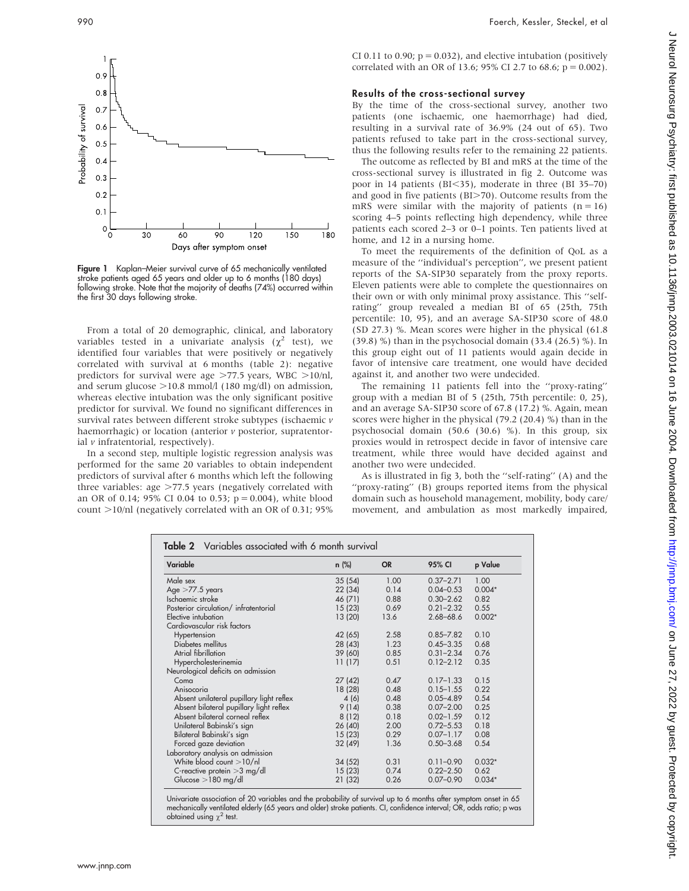

CI 0.11 to 0.90;  $p = 0.032$ ), and elective intubation (positively correlated with an OR of 13.6; 95% CI 2.7 to 68.6;  $p = 0.002$ ). Results of the cross-sectional survey By the time of the cross-sectional survey, another two

patients (one ischaemic, one haemorrhage) had died, resulting in a survival rate of 36.9% (24 out of 65). Two patients refused to take part in the cross-sectional survey, thus the following results refer to the remaining 22 patients.

The outcome as reflected by BI and mRS at the time of the cross-sectional survey is illustrated in fig 2. Outcome was poor in 14 patients ( $BI < 35$ ), moderate in three ( $BI$  35–70) and good in five patients (BI $>70$ ). Outcome results from the mRS were similar with the majority of patients  $(n = 16)$ scoring 4–5 points reflecting high dependency, while three patients each scored 2–3 or 0–1 points. Ten patients lived at home, and 12 in a nursing home.

To meet the requirements of the definition of QoL as a measure of the ''individual's perception'', we present patient reports of the SA-SIP30 separately from the proxy reports. Eleven patients were able to complete the questionnaires on their own or with only minimal proxy assistance. This ''selfrating'' group revealed a median BI of 65 (25th, 75th percentile: 10, 95), and an average SA-SIP30 score of 48.0 (SD 27.3) %. Mean scores were higher in the physical (61.8 (39.8) %) than in the psychosocial domain (33.4 (26.5) %). In this group eight out of 11 patients would again decide in favor of intensive care treatment, one would have decided against it, and another two were undecided.

The remaining 11 patients fell into the ''proxy-rating'' group with a median BI of 5 (25th, 75th percentile: 0, 25), and an average SA-SIP30 score of 67.8 (17.2) %. Again, mean scores were higher in the physical (79.2 (20.4) %) than in the psychosocial domain (50.6 (30.6) %). In this group, six proxies would in retrospect decide in favor of intensive care treatment, while three would have decided against and another two were undecided.

As is illustrated in fig 3, both the ''self-rating'' (A) and the 'proxy-rating'' (B) groups reported items from the physical domain such as household management, mobility, body care/ movement, and ambulation as most markedly impaired,

| Variable                                 | n (%)   | <b>OR</b> | 95% CI        | p Value<br>1.00 |
|------------------------------------------|---------|-----------|---------------|-----------------|
| Male sex                                 | 35(54)  | 1.00      | $0.37 - 2.71$ |                 |
| Age $>77.5$ years                        | 22(34)  | 0.14      | $0.04 - 0.53$ | $0.004*$        |
| Ischaemic stroke                         | 46 (71) | 0.88      | $0.30 - 2.62$ | 0.82            |
| Posterior circulation/ infratentorial    | 15(23)  | 0.69      | $0.21 - 2.32$ | 0.55            |
| Elective intubation                      | 13(20)  | 13.6      | $2.68 - 68.6$ | $0.002*$        |
| Cardiovascular risk factors              |         |           |               |                 |
| Hypertension                             | 42 (65) | 2.58      | $0.85 - 7.82$ | 0.10            |
| Diabetes mellitus                        | 28 (43) | 1.23      | $0.45 - 3.35$ | 0.68            |
| Atrial fibrillation                      | 39 (60) | 0.85      | $0.31 - 2.34$ | 0.76            |
| Hypercholesterinemia                     | 11(17)  | 0.51      | $0.12 - 2.12$ | 0.35            |
| Neurological deficits on admission       |         |           |               |                 |
| Coma                                     | 27(42)  | 0.47      | $0.17 - 1.33$ | 0.15            |
| Anisocoria                               | 18 (28) | 0.48      | $0.15 - 1.55$ | 0.22            |
| Absent unilateral pupillary light reflex | 4(6)    | 0.48      | $0.05 - 4.89$ | 0.54            |
| Absent bilateral pupillary light reflex  | 9(14)   | 0.38      | $0.07 - 2.00$ | 0.25            |
| Absent bilateral corneal reflex          | 8(12)   | 0.18      | $0.02 - 1.59$ | 0.12            |
| Unilateral Babinski's sign               | 26(40)  | 2.00      | $0.72 - 5.53$ | 0.18            |
| Bilateral Babinski's sign                | 15(23)  | 0.29      | $0.07 - 1.17$ | 0.08            |
| Forced gaze deviation                    | 32 (49) | 1.36      | $0.50 - 3.68$ | 0.54            |
| Laboratory analysis on admission         |         |           |               |                 |
| White blood count $>10/nl$               | 34(52)  | 0.31      | $0.11 - 0.90$ | $0.032*$        |
| C-reactive protein $>3$ mg/dl            | 15(23)  | 0.74      | $0.22 - 2.50$ | 0.62            |
| Glucose $>180$ mg/dl                     | 21 (32) | 0.26      | $0.07 - 0.90$ | $0.034*$        |

Univariate association of 20 variables and the probability of survival up to 6 months after symptom onset in 65 mechanically ventilated elderly (65 years and older) stroke patients. CI, confidence interval; OR, odds ratio; p was obtained using  $\chi^2$  test.

Figure 1 Kaplan–Meier survival curve of 65 mechanically ventilated stroke patients aged 65 years and older up to 6 months (180 days) following stroke. Note that the majority of deaths (74%) occurred within the first 30 days following stroke.

From a total of 20 demographic, clinical, and laboratory variables tested in a univariate analysis ( $\chi^2$  test), we identified four variables that were positively or negatively correlated with survival at 6 months (table 2): negative predictors for survival were age  $>77.5$  years, WBC  $>10/nl$ , and serum glucose  $>10.8$  mmol/l (180 mg/dl) on admission, whereas elective intubation was the only significant positive predictor for survival. We found no significant differences in survival rates between different stroke subtypes (ischaemic  $\nu$ haemorrhagic) or location (anterior  $\nu$  posterior, supratentorial  $\nu$  infratentorial, respectively).

In a second step, multiple logistic regression analysis was performed for the same 20 variables to obtain independent predictors of survival after 6 months which left the following three variables: age  $>77.5$  years (negatively correlated with an OR of 0.14; 95% CI 0.04 to 0.53;  $p = 0.004$ ), white blood count  $>10$ /nl (negatively correlated with an OR of 0.31; 95%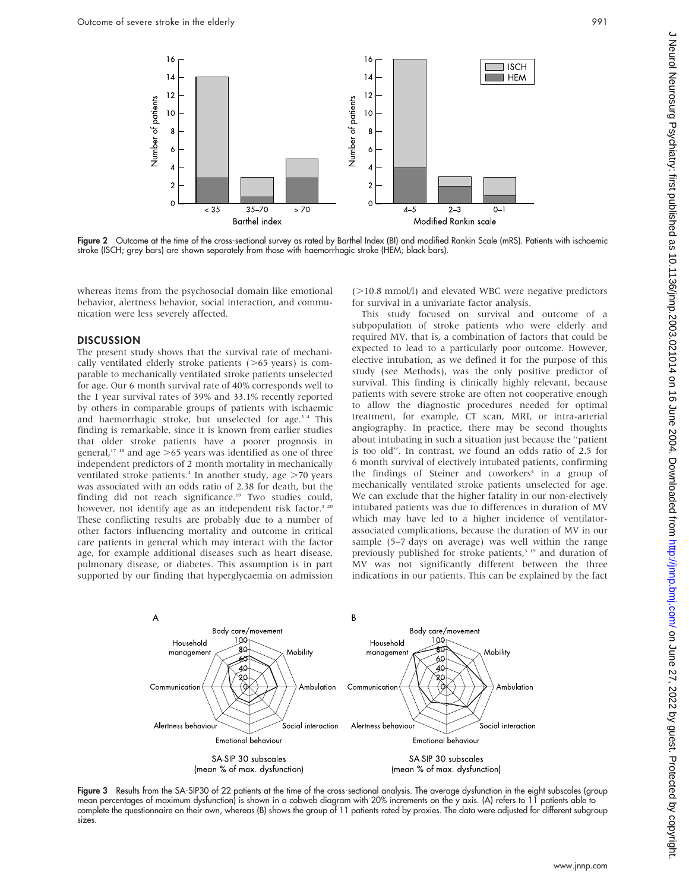

Figure 2 Outcome at the time of the cross-sectional survey as rated by Barthel Index (BI) and modified Rankin Scale (mRS). Patients with ischaemic stroke (ISCH; grey bars) are shown separately from those with haemorrhagic stroke (HEM; black bars).

whereas items from the psychosocial domain like emotional behavior, alertness behavior, social interaction, and communication were less severely affected.

#### **DISCUSSION**

The present study shows that the survival rate of mechanically ventilated elderly stroke patients  $($ >65 years) is comparable to mechanically ventilated stroke patients unselected for age. Our 6 month survival rate of 40% corresponds well to the 1 year survival rates of 39% and 33.1% recently reported by others in comparable groups of patients with ischaemic and haemorrhagic stroke, but unselected for age.<sup>34</sup> This finding is remarkable, since it is known from earlier studies that older stroke patients have a poorer prognosis in general,<sup>17 18</sup> and age  $>65$  years was identified as one of three independent predictors of 2 month mortality in mechanically ventilated stroke patients.<sup>4</sup> In another study, age  $>70$  years was associated with an odds ratio of 2.38 for death, but the finding did not reach significance.<sup>19</sup> Two studies could, however, not identify age as an independent risk factor.<sup>3 20</sup> These conflicting results are probably due to a number of other factors influencing mortality and outcome in critical care patients in general which may interact with the factor age, for example additional diseases such as heart disease, pulmonary disease, or diabetes. This assumption is in part supported by our finding that hyperglycaemia on admission  $(>10.8$  mmol $/$ ) and elevated WBC were negative predictors for survival in a univariate factor analysis.

This study focused on survival and outcome of a subpopulation of stroke patients who were elderly and required MV, that is, a combination of factors that could be expected to lead to a particularly poor outcome. However, elective intubation, as we defined it for the purpose of this study (see Methods), was the only positive predictor of survival. This finding is clinically highly relevant, because patients with severe stroke are often not cooperative enough to allow the diagnostic procedures needed for optimal treatment, for example, CT scan, MRI, or intra-arterial angiography. In practice, there may be second thoughts about intubating in such a situation just because the ''patient is too old''. In contrast, we found an odds ratio of 2.5 for 6 month survival of electively intubated patients, confirming the findings of Steiner and coworkers<sup>4</sup> in a group of mechanically ventilated stroke patients unselected for age. We can exclude that the higher fatality in our non-electively intubated patients was due to differences in duration of MV which may have led to a higher incidence of ventilatorassociated complications, because the duration of MV in our sample (5–7 days on average) was well within the range previously published for stroke patients,<sup>3 19</sup> and duration of MV was not significantly different between the three indications in our patients. This can be explained by the fact



Figure 3 Results from the SA-SIP30 of 22 patients at the time of the cross-sectional analysis. The average dysfunction in the eight subscales (group mean percentages of maximum dysfunction) is shown in a cobweb diagram with 20% increments on the y axis. (A) refers to 11 patients able to complete the questionnaire on their own, whereas (B) shows the group of 11 patients rated by proxies. The data were adjusted for different subgroup sizes.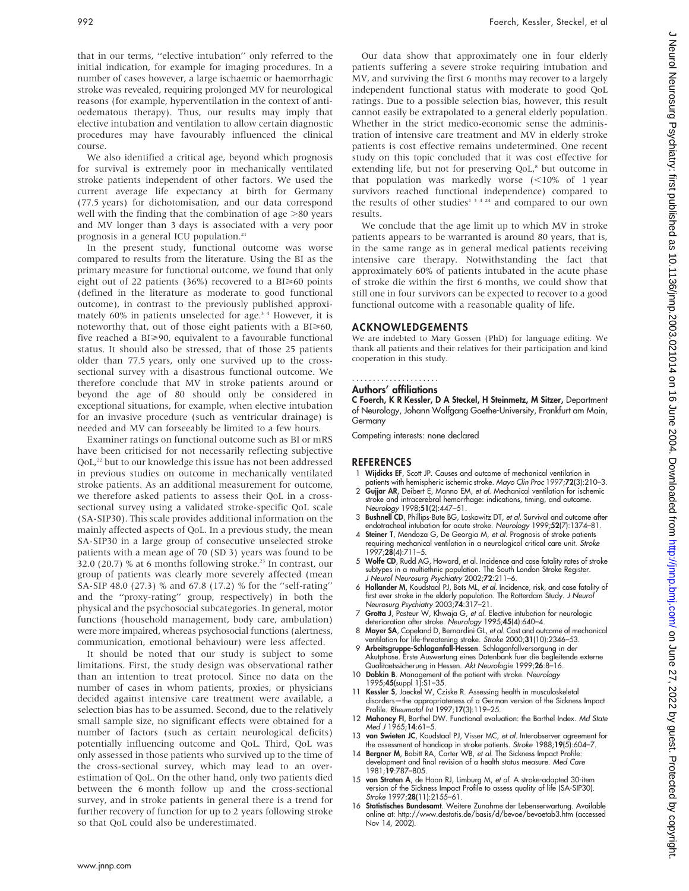that in our terms, ''elective intubation'' only referred to the initial indication, for example for imaging procedures. In a number of cases however, a large ischaemic or haemorrhagic stroke was revealed, requiring prolonged MV for neurological reasons (for example, hyperventilation in the context of antioedematous therapy). Thus, our results may imply that elective intubation and ventilation to allow certain diagnostic procedures may have favourably influenced the clinical course.

We also identified a critical age, beyond which prognosis for survival is extremely poor in mechanically ventilated stroke patients independent of other factors. We used the current average life expectancy at birth for Germany (77.5 years) for dichotomisation, and our data correspond well with the finding that the combination of age  $>80$  years and MV longer than 3 days is associated with a very poor prognosis in a general ICU population.<sup>21</sup>

In the present study, functional outcome was worse compared to results from the literature. Using the BI as the primary measure for functional outcome, we found that only eight out of 22 patients (36%) recovered to a BI $\geq 60$  points (defined in the literature as moderate to good functional outcome), in contrast to the previously published approximately 60% in patients unselected for age.<sup>34</sup> However, it is noteworthy that, out of those eight patients with a  $BI \ge 60$ , five reached a BI>90, equivalent to a favourable functional status. It should also be stressed, that of those 25 patients older than 77.5 years, only one survived up to the crosssectional survey with a disastrous functional outcome. We therefore conclude that MV in stroke patients around or beyond the age of 80 should only be considered in exceptional situations, for example, when elective intubation for an invasive procedure (such as ventricular drainage) is needed and MV can forseeably be limited to a few hours.

Examiner ratings on functional outcome such as BI or mRS have been criticised for not necessarily reflecting subjective QoL,<sup>22</sup> but to our knowledge this issue has not been addressed in previous studies on outcome in mechanically ventilated stroke patients. As an additional measurement for outcome, we therefore asked patients to assess their QoL in a crosssectional survey using a validated stroke-specific QoL scale (SA-SIP30). This scale provides additional information on the mainly affected aspects of QoL. In a previous study, the mean SA-SIP30 in a large group of consecutive unselected stroke patients with a mean age of 70 (SD 3) years was found to be 32.0 (20.7) % at 6 months following stroke.<sup>23</sup> In contrast, our group of patients was clearly more severely affected (mean SA-SIP 48.0 (27.3) % and 67.8 (17.2) % for the ''self-rating'' and the ''proxy-rating'' group, respectively) in both the physical and the psychosocial subcategories. In general, motor functions (household management, body care, ambulation) were more impaired, whereas psychosocial functions (alertness, communication, emotional behaviour) were less affected.

It should be noted that our study is subject to some limitations. First, the study design was observational rather than an intention to treat protocol. Since no data on the number of cases in whom patients, proxies, or physicians decided against intensive care treatment were available, a selection bias has to be assumed. Second, due to the relatively small sample size, no significant effects were obtained for a number of factors (such as certain neurological deficits) potentially influencing outcome and QoL. Third, QoL was only assessed in those patients who survived up to the time of the cross-sectional survey, which may lead to an overestimation of QoL. On the other hand, only two patients died between the 6 month follow up and the cross-sectional survey, and in stroke patients in general there is a trend for further recovery of function for up to 2 years following stroke so that QoL could also be underestimated.

Our data show that approximately one in four elderly patients suffering a severe stroke requiring intubation and MV, and surviving the first 6 months may recover to a largely independent functional status with moderate to good QoL ratings. Due to a possible selection bias, however, this result cannot easily be extrapolated to a general elderly population. Whether in the strict medico-economic sense the administration of intensive care treatment and MV in elderly stroke patients is cost effective remains undetermined. One recent study on this topic concluded that it was cost effective for extending life, but not for preserving QoL,<sup>8</sup> but outcome in that population was markedly worse  $\leq 10\%$  of 1 year survivors reached functional independence) compared to the results of other studies<sup>1 3 4 24</sup> and compared to our own results.

We conclude that the age limit up to which MV in stroke patients appears to be warranted is around 80 years, that is, in the same range as in general medical patients receiving intensive care therapy. Notwithstanding the fact that approximately 60% of patients intubated in the acute phase of stroke die within the first 6 months, we could show that still one in four survivors can be expected to recover to a good functional outcome with a reasonable quality of life.

### ACKNOWLEDGEMENTS

We are indebted to Mary Gossen (PhD) for language editing. We thank all patients and their relatives for their participation and kind cooperation in this study.

#### Authors' affiliations .....................

C Foerch, K R Kessler, D A Steckel, H Steinmetz, M Sitzer, Department of Neurology, Johann Wolfgang Goethe-University, Frankfurt am Main, Germany

Competing interests: none declared

### REFERENCES

- 1 Wijdicks EF, Scott JP. Causes and outcome of mechanical ventilation in
- patients with hemispheric ischemic stroke. Mayo Clin Proc 1997;72(3):210–3. 2 Gujjar AR, Deibert E, Manno EM, et al. Mechanical ventilation for ischemic stroke and intracerebral hemorrhage: indications, timing, and outcome. Neurology 1998;51(2):447–51.
- 3 Bushnell CD, Phillips-Bute BG, Laskowitz DT, et al. Survival and outcome after endotracheal intubation for acute stroke. Neurology 1999;52(7):1374–81.
- 4 Steiner T, Mendoza G, De Georgia M, et al. Prognosis of stroke patients requiring mechanical ventilation in a neurological critical care unit. Stroke 1997;28(4):711–5.
- 5 Wolfe CD, Rudd AG, Howard, et al. Incidence and case fatality rates of stroke subtypes in a multiethnic population. The South London Stroke Register. J Neurol Neurosurg Psychiatry 2002;72:211-6.
- 6 Hollander M, Koudstaal PJ, Bots ML, et al. Incidence, risk, and case fatality of first ever stroke in the elderly population. The Rotterdam Study. J Neurol Neurosurg Psychiatry 2003;74:317–21.
- 7 Grotta J, Pasteur W, Khwaja G, et al. Elective intubation for neurologic deterioration after stroke. Neurology 1995;45(4):640–4.
- 8 Mayer SA, Copeland D, Bernardini GL, et al. Cost and outcome of mechanical ventilation for life-threatening stroke. Stroke 2000;31(10):2346–53.
- 9 Arbeitsgruppe-Schlaganfall-Hessen. Schlaganfallversorgung in der Akutphase. Erste Auswertung eines Datenbank fuer die begleitende externe Qualitaetssicherung in Hessen. Akt Neurologie 1999;26:8–16.
- 10 Dobkin B. Management of the patient with stroke. Neurology 1995;45(suppl 1):S1–35.
- 11 Kessler S, Jaeckel W, Cziske R. Assessing health in musculoskeletal disorders—the appropriateness of a German version of the Sickness Impact Profile. Rheumatol Int 1997;17(3):119–25.
- 12 Mahoney FI, Barthel DW. Functional evaluation: the Barthel Index. Md State Med J 1965;14:61-5.
- 13 van Swieten JC, Koudstaal PJ, Visser MC, et al. Interobserver agreement for the assessment of handicap in stroke patients. Stroke 1988;19(5):604-7.
- 14 Bergner M, Bobitt RA, Carter WB, et al. The Sickness Impact Profile: development and final revision of a health status measure. Med Care 1981;19:787–805.
- 15 van Straten A, de Haan RJ, Limburg M, et al. A stroke-adapted 30-item version of the Sickness Impact Profile to assess quality of life (SA-SIP30). Stroke 1997;28(11):2155-61.
- 16 Statistisches Bundesamt. Weitere Zunahme der Lebenserwartung. Available online at: http://www.destatis.de/basis/d/bevoe/bevoetab3.htm (accessed Nov 14, 2002).